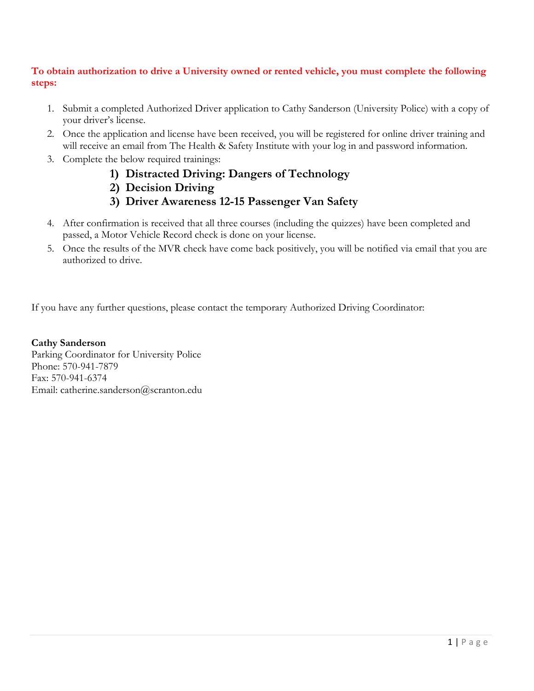## **To obtain authorization to drive a University owned or rented vehicle, you must complete the following steps:**

- 1. Submit a completed Authorized Driver application to Cathy Sanderson (University Police) with a copy of your driver's license.
- 2. Once the application and license have been received, you will be registered for online driver training and will receive an email from The Health & Safety Institute with your log in and password information.
- 3. Complete the below required trainings:
	- **1) Distracted Driving: Dangers of Technology**
	- **2) Decision Driving**
	- **3) Driver Awareness 12-15 Passenger Van Safety**
- 4. After confirmation is received that all three courses (including the quizzes) have been completed and passed, a Motor Vehicle Record check is done on your license.
- 5. Once the results of the MVR check have come back positively, you will be notified via email that you are authorized to drive.

If you have any further questions, please contact the temporary Authorized Driving Coordinator:

**Cathy Sanderson** Parking Coordinator for University Police Phone: 570-941-7879 Fax: 570-941-6374 Email: catherine.sanderson@scranton.edu